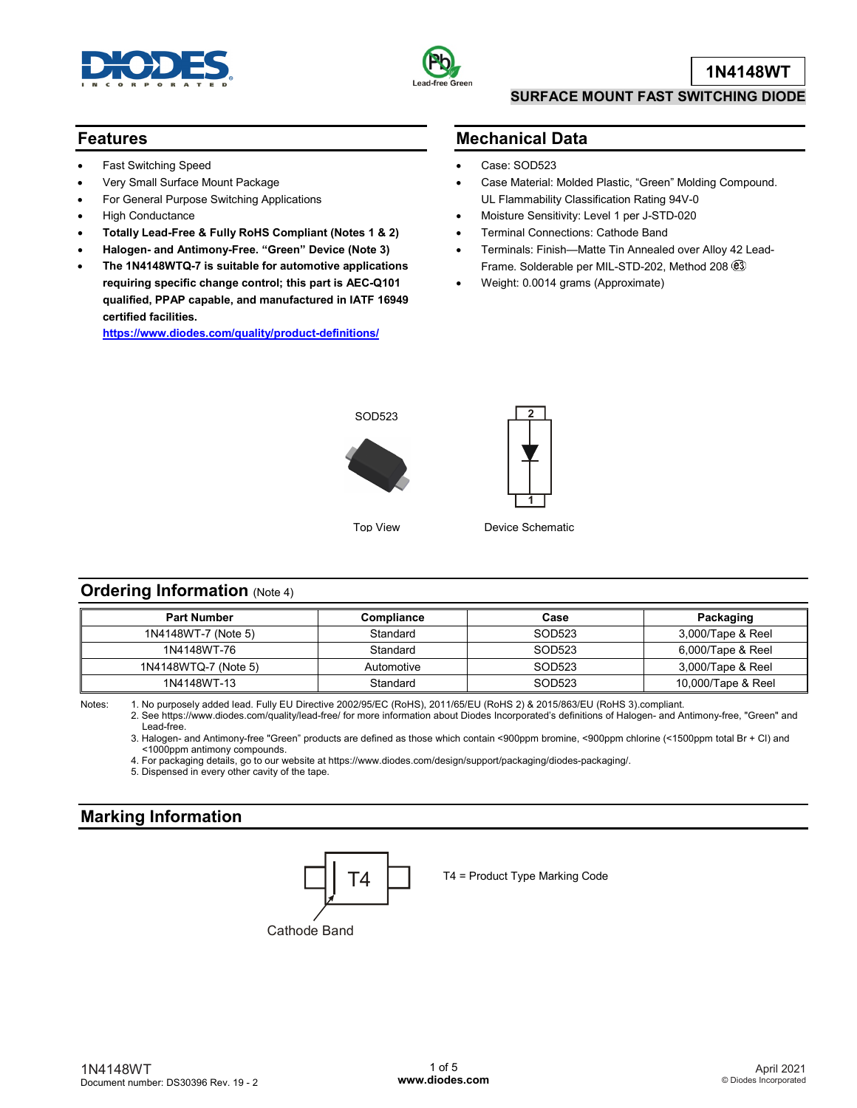



**1N4148WT**

### **SURFACE MOUNT FAST SWITCHING DIODE**

## **Features**

- Fast Switching Speed
- Very Small Surface Mount Package
- For General Purpose Switching Applications
- High Conductance
- **Totally Lead-Free & Fully RoHS Compliant (Notes 1 & 2)**
- **Halogen- and Antimony-Free. "Green" Device (Note 3)**
- **The 1N4148WTQ-7 is suitable for automotive applications requiring specific change control; this part is AEC-Q101 qualified, PPAP capable, and manufactured in IATF 16949 certified facilities.**

**<https://www.diodes.com/quality/product-definitions/>**

# **Mechanical Data**

- Case: SOD523
- Case Material: Molded Plastic, "Green" Molding Compound. UL Flammability Classification Rating 94V-0
- Moisture Sensitivity: Level 1 per J-STD-020
- Terminal Connections: Cathode Band
- Terminals: Finish—Matte Tin Annealed over Alloy 42 Lead-Frame. Solderable per MIL-STD-202, Method 208
- Weight: 0.0014 grams (Approximate)



Top View



Device Schematic

## **Ordering Information (Note 4)**

| <b>Part Number</b>   | <b>Compliance</b> | Case   | Packaging          |
|----------------------|-------------------|--------|--------------------|
| 1N4148WT-7 (Note 5)  | Standard          | SOD523 | 3,000/Tape & Reel  |
| 1N4148WT-76          | Standard          | SOD523 | 6,000/Tape & Reel  |
| 1N4148WTQ-7 (Note 5) | Automotive        | SOD523 | 3,000/Tape & Reel  |
| 1N4148WT-13          | Standard          | SOD523 | 10,000/Tape & Reel |

Notes: 1. No purposely added lead. Fully EU Directive 2002/95/EC (RoHS), 2011/65/EU (RoHS 2) & 2015/863/EU (RoHS 3).compliant.

2. See https://www.diodes.com/quality/lead-free/ for more information about Diodes Incorporated's definitions of Halogen- and Antimony-free, "Green" and Lead-free.

3. Halogen- and Antimony-free "Green" products are defined as those which contain <900ppm bromine, <900ppm chlorine (<1500ppm total Br + Cl) and <1000ppm antimony compounds.

4. For packaging details, go to our website at https://www.diodes.com/design/support/packaging/diodes-packaging/.

5. Dispensed in every other cavity of the tape.

# **Marking Information**



 $\begin{array}{|c|c|} \hline \textbf{I4} & \textbf{I5} & \textbf{I6} \\ \hline \end{array}$  T4 = Product Type Marking Code

Cathode Band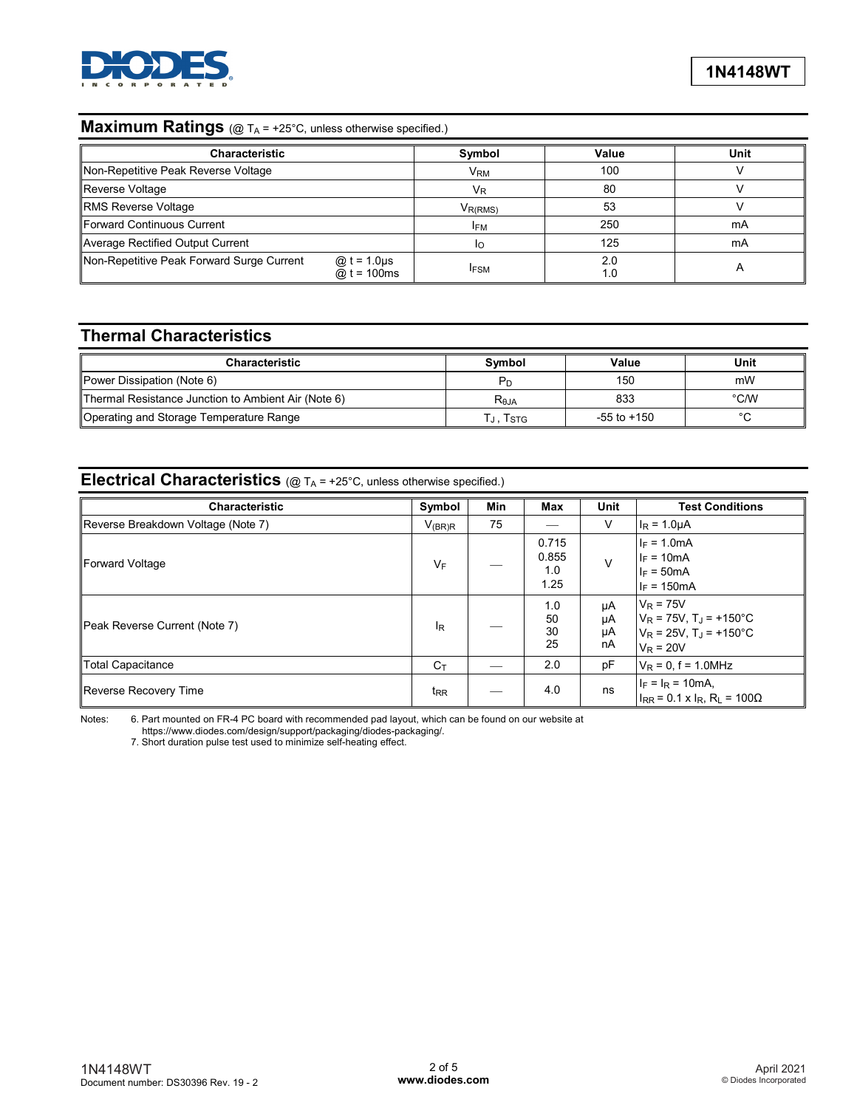

# **Maximum Ratings** (@ T<sub>A</sub> = +25°C, unless otherwise specified.)

| <b>Characteristic</b>                     |                                     | Symbol                | Value      | Unit         |
|-------------------------------------------|-------------------------------------|-----------------------|------------|--------------|
| Non-Repetitive Peak Reverse Voltage       |                                     | <b>V<sub>RM</sub></b> | 100        |              |
| Reverse Voltage                           |                                     | $V_{R}$               | 80         |              |
| <b>RMS Reverse Voltage</b>                |                                     | $V_{R(RMS)}$          | 53         |              |
| Forward Continuous Current                |                                     | <b>IFM</b>            | 250        | mA           |
| Average Rectified Output Current          |                                     | ΙO                    | 125        | mA           |
| Non-Repetitive Peak Forward Surge Current | @ $t = 1.0 \mu s$<br>@ $t = 100$ ms | <b>IFSM</b>           | 2.0<br>1.0 | $\mathsf{A}$ |

# **Thermal Characteristics**

| Characteristic                                      | Svmbol              | Value           | Unit           |
|-----------------------------------------------------|---------------------|-----------------|----------------|
| Power Dissipation (Note 6)                          |                     | 150             | mW             |
| Thermal Resistance Junction to Ambient Air (Note 6) | R <sub>0JA</sub>    | 833             | $^{\circ}$ C/W |
| Operating and Storage Temperature Range             | T」,T <sub>STG</sub> | $-55$ to $+150$ | $\sim$         |

# **Electrical Characteristics** (@ T<sub>A</sub> = +25°C, unless otherwise specified.)

| <b>Characteristic</b>              | Symbol         | Min | Max                           | Unit                 | <b>Test Conditions</b>                                                                                           |
|------------------------------------|----------------|-----|-------------------------------|----------------------|------------------------------------------------------------------------------------------------------------------|
| Reverse Breakdown Voltage (Note 7) | $V_{(BR)R}$    | 75  |                               | ٧                    | $I_R = 1.0 \mu A$                                                                                                |
| Forward Voltage                    | $V_F$          |     | 0.715<br>0.855<br>1.0<br>1.25 | $\vee$               | $I_F = 1.0mA$<br>$I_F = 10mA$<br>$I_F = 50mA$<br>$I_F = 150mA$                                                   |
| Peak Reverse Current (Note 7)      | ΙR             |     | 1.0<br>50<br>30<br>25         | μA<br>μA<br>μA<br>nA | $V_R$ = 75V<br>$V_R$ = 75V, T <sub>J</sub> = +150°C<br>$V_R$ = 25V, T <sub>J</sub> = +150°C<br>$V_{\rm R} = 20V$ |
| <b>Total Capacitance</b>           | $C_{\text{T}}$ |     | 2.0                           | pF                   | $V_R = 0$ , f = 1.0MHz                                                                                           |
| Reverse Recovery Time              | $t_{RR}$       |     | 4.0                           | ns                   | $I_F = I_R = 10mA$<br>$I_{RR}$ = 0.1 x $I_R$ , R <sub>L</sub> = 100Ω                                             |

Notes: 6. Part mounted on FR-4 PC board with recommended pad layout, which can be found on our website at

https://www.diodes.com/design/support/packaging/diodes-packaging/.

7. Short duration pulse test used to minimize self-heating effect.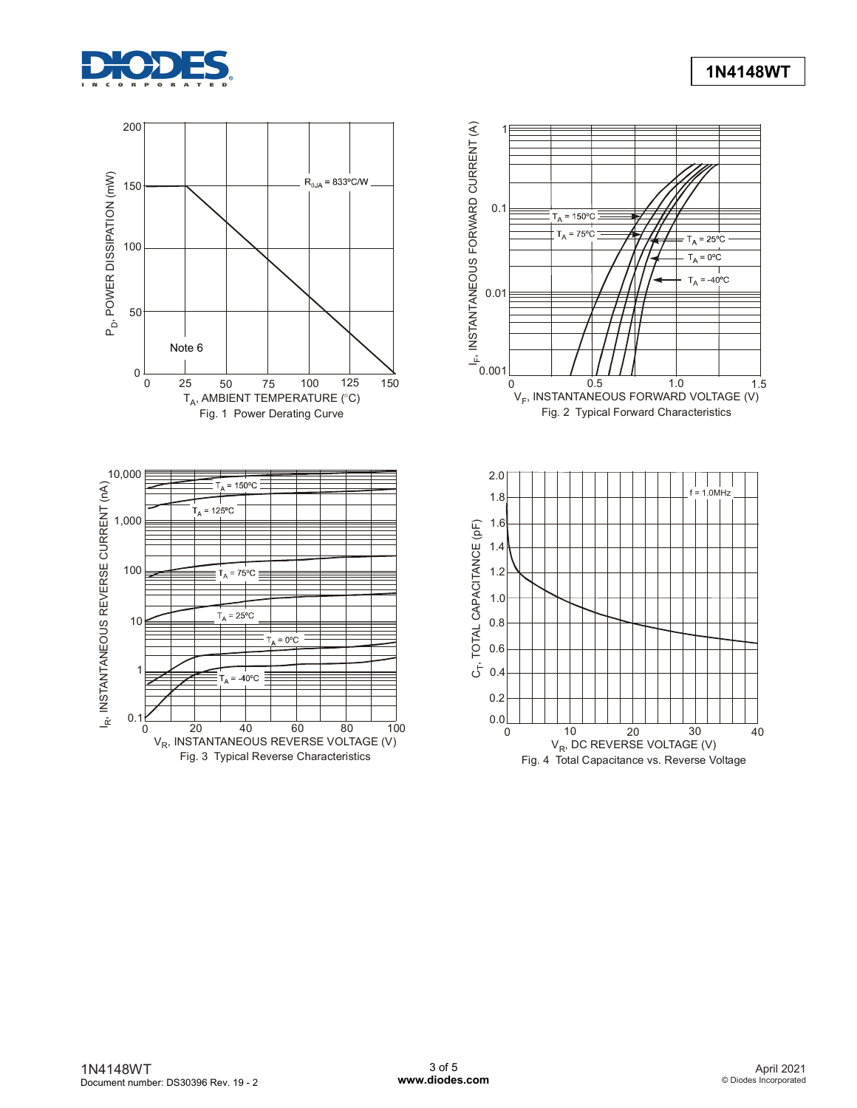

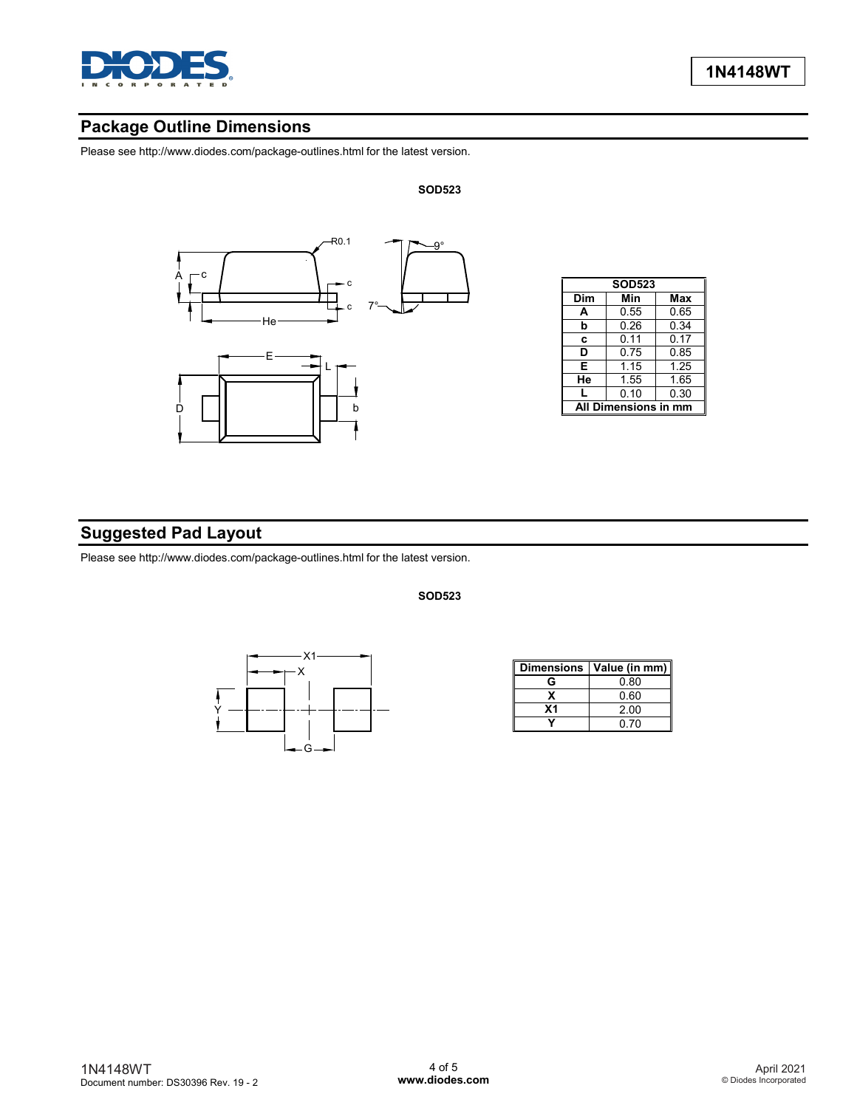

# **Package Outline Dimensions**

Please see http://www.diodes.com/package-outlines.html for the latest version.



**SOD523**

**SOD523**

| <b>SOD523</b>        |      |      |  |  |
|----------------------|------|------|--|--|
| Dim                  | Min  | Max  |  |  |
| А                    | 0.55 | 0.65 |  |  |
| b                    | 0.26 | 0.34 |  |  |
| C                    | 0.11 | 0.17 |  |  |
| D                    | 0.75 | 0.85 |  |  |
| E                    | 1.15 | 1.25 |  |  |
| He                   | 1.55 | 1.65 |  |  |
|                      | 0.10 | 0.30 |  |  |
| All Dimensions in mm |      |      |  |  |

# **Suggested Pad Layout**

Please see http://www.diodes.com/package-outlines.html for the latest version.



|    | Dimensions   Value (in mm) |
|----|----------------------------|
| G  | 0.80                       |
|    | 0.60                       |
| Χ1 | 2.00                       |
|    | 0. ZO                      |